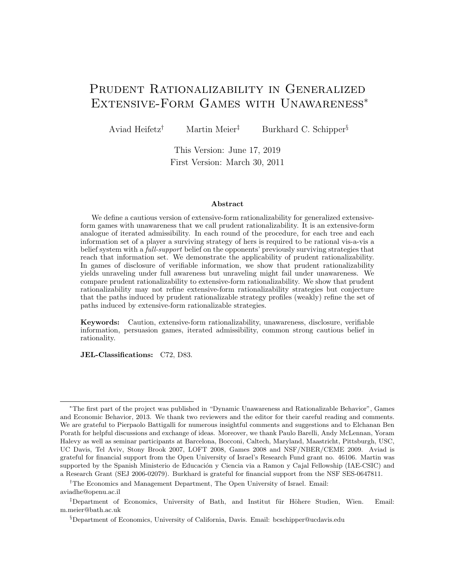# Prudent Rationalizability in Generalized Extensive-Form Games with Unawareness<sup>∗</sup>

Aviad Heifetz<sup>†</sup> Martin Meier<sup>‡</sup> Burkhard C. Schipper<sup>§</sup>

This Version: June 17, 2019 First Version: March 30, 2011

#### Abstract

We define a cautious version of extensive-form rationalizability for generalized extensiveform games with unawareness that we call prudent rationalizability. It is an extensive-form analogue of iterated admissibility. In each round of the procedure, for each tree and each information set of a player a surviving strategy of hers is required to be rational vis-a-vis a belief system with a *full-support* belief on the opponents' previously surviving strategies that reach that information set. We demonstrate the applicability of prudent rationalizability. In games of disclosure of verifiable information, we show that prudent rationalizability yields unraveling under full awareness but unraveling might fail under unawareness. We compare prudent rationalizability to extensive-form rationalizability. We show that prudent rationalizability may not refine extensive-form rationalizability strategies but conjecture that the paths induced by prudent rationalizable strategy profiles (weakly) refine the set of paths induced by extensive-form rationalizable strategies.

Keywords: Caution, extensive-form rationalizability, unawareness, disclosure, verifiable information, persuasion games, iterated admissibility, common strong cautious belief in rationality.

JEL-Classifications: C72, D83.

<sup>∗</sup>The first part of the project was published in "Dynamic Unawareness and Rationalizable Behavior", Games and Economic Behavior, 2013. We thank two reviewers and the editor for their careful reading and comments. We are grateful to Pierpaolo Battigalli for numerous insightful comments and suggestions and to Elchanan Ben Porath for helpful discussions and exchange of ideas. Moreover, we thank Paulo Barelli, Andy McLennan, Yoram Halevy as well as seminar participants at Barcelona, Bocconi, Caltech, Maryland, Maastricht, Pittsburgh, USC, UC Davis, Tel Aviv, Stony Brook 2007, LOFT 2008, Games 2008 and NSF/NBER/CEME 2009. Aviad is grateful for financial support from the Open University of Israel's Research Fund grant no. 46106. Martin was supported by the Spanish Ministerio de Educación y Ciencia via a Ramon y Cajal Fellowship (IAE-CSIC) and a Research Grant (SEJ 2006-02079). Burkhard is grateful for financial support from the NSF SES-0647811.

<sup>†</sup>The Economics and Management Department, The Open University of Israel. Email: aviadhe@openu.ac.il

<sup>&</sup>lt;sup>‡</sup>Department of Economics, University of Bath, and Institut für Höhere Studien, Wien. Email: m.meier@bath.ac.uk

<sup>§</sup>Department of Economics, University of California, Davis. Email: bcschipper@ucdavis.edu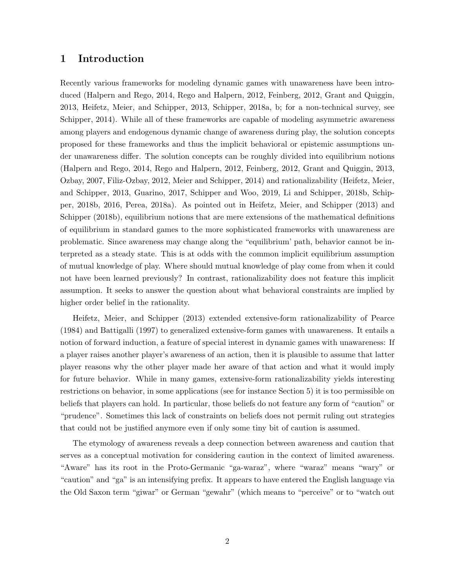### 1 Introduction

Recently various frameworks for modeling dynamic games with unawareness have been introduced (Halpern and Rego, 2014, Rego and Halpern, 2012, Feinberg, 2012, Grant and Quiggin, 2013, Heifetz, Meier, and Schipper, 2013, Schipper, 2018a, b; for a non-technical survey, see Schipper, 2014). While all of these frameworks are capable of modeling asymmetric awareness among players and endogenous dynamic change of awareness during play, the solution concepts proposed for these frameworks and thus the implicit behavioral or epistemic assumptions under unawareness differ. The solution concepts can be roughly divided into equilibrium notions (Halpern and Rego, 2014, Rego and Halpern, 2012, Feinberg, 2012, Grant and Quiggin, 2013, Ozbay, 2007, Filiz-Ozbay, 2012, Meier and Schipper, 2014) and rationalizability (Heifetz, Meier, and Schipper, 2013, Guarino, 2017, Schipper and Woo, 2019, Li and Schipper, 2018b, Schipper, 2018b, 2016, Perea, 2018a). As pointed out in Heifetz, Meier, and Schipper (2013) and Schipper (2018b), equilibrium notions that are mere extensions of the mathematical definitions of equilibrium in standard games to the more sophisticated frameworks with unawareness are problematic. Since awareness may change along the "equilibrium' path, behavior cannot be interpreted as a steady state. This is at odds with the common implicit equilibrium assumption of mutual knowledge of play. Where should mutual knowledge of play come from when it could not have been learned previously? In contrast, rationalizability does not feature this implicit assumption. It seeks to answer the question about what behavioral constraints are implied by higher order belief in the rationality.

Heifetz, Meier, and Schipper (2013) extended extensive-form rationalizability of Pearce (1984) and Battigalli (1997) to generalized extensive-form games with unawareness. It entails a notion of forward induction, a feature of special interest in dynamic games with unawareness: If a player raises another player's awareness of an action, then it is plausible to assume that latter player reasons why the other player made her aware of that action and what it would imply for future behavior. While in many games, extensive-form rationalizability yields interesting restrictions on behavior, in some applications (see for instance Section 5) it is too permissible on beliefs that players can hold. In particular, those beliefs do not feature any form of "caution" or "prudence". Sometimes this lack of constraints on beliefs does not permit ruling out strategies that could not be justified anymore even if only some tiny bit of caution is assumed.

The etymology of awareness reveals a deep connection between awareness and caution that serves as a conceptual motivation for considering caution in the context of limited awareness. "Aware" has its root in the Proto-Germanic "ga-waraz", where "waraz" means "wary" or "caution" and "ga" is an intensifying prefix. It appears to have entered the English language via the Old Saxon term "giwar" or German "gewahr" (which means to "perceive" or to "watch out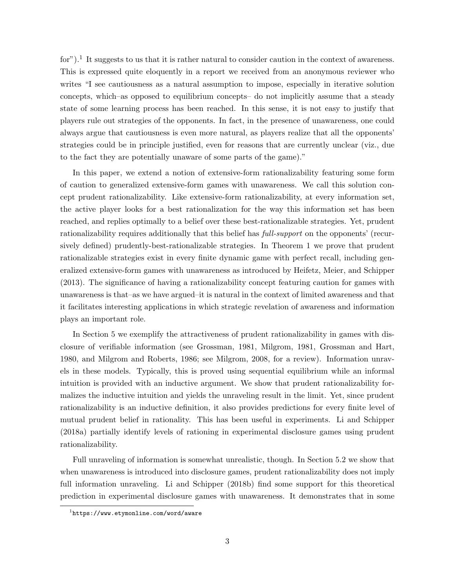for").<sup>1</sup> It suggests to us that it is rather natural to consider caution in the context of awareness. This is expressed quite eloquently in a report we received from an anonymous reviewer who writes "I see cautiousness as a natural assumption to impose, especially in iterative solution concepts, which–as opposed to equilibrium concepts– do not implicitly assume that a steady state of some learning process has been reached. In this sense, it is not easy to justify that players rule out strategies of the opponents. In fact, in the presence of unawareness, one could always argue that cautiousness is even more natural, as players realize that all the opponents' strategies could be in principle justified, even for reasons that are currently unclear (viz., due to the fact they are potentially unaware of some parts of the game)."

In this paper, we extend a notion of extensive-form rationalizability featuring some form of caution to generalized extensive-form games with unawareness. We call this solution concept prudent rationalizability. Like extensive-form rationalizability, at every information set, the active player looks for a best rationalization for the way this information set has been reached, and replies optimally to a belief over these best-rationalizable strategies. Yet, prudent rationalizability requires additionally that this belief has full-support on the opponents' (recursively defined) prudently-best-rationalizable strategies. In Theorem 1 we prove that prudent rationalizable strategies exist in every finite dynamic game with perfect recall, including generalized extensive-form games with unawareness as introduced by Heifetz, Meier, and Schipper (2013). The significance of having a rationalizability concept featuring caution for games with unawareness is that–as we have argued–it is natural in the context of limited awareness and that it facilitates interesting applications in which strategic revelation of awareness and information plays an important role.

In Section 5 we exemplify the attractiveness of prudent rationalizability in games with disclosure of verifiable information (see Grossman, 1981, Milgrom, 1981, Grossman and Hart, 1980, and Milgrom and Roberts, 1986; see Milgrom, 2008, for a review). Information unravels in these models. Typically, this is proved using sequential equilibrium while an informal intuition is provided with an inductive argument. We show that prudent rationalizability formalizes the inductive intuition and yields the unraveling result in the limit. Yet, since prudent rationalizability is an inductive definition, it also provides predictions for every finite level of mutual prudent belief in rationality. This has been useful in experiments. Li and Schipper (2018a) partially identify levels of rationing in experimental disclosure games using prudent rationalizability.

Full unraveling of information is somewhat unrealistic, though. In Section 5.2 we show that when unawareness is introduced into disclosure games, prudent rationalizability does not imply full information unraveling. Li and Schipper (2018b) find some support for this theoretical prediction in experimental disclosure games with unawareness. It demonstrates that in some

 $1$ https://www.etymonline.com/word/aware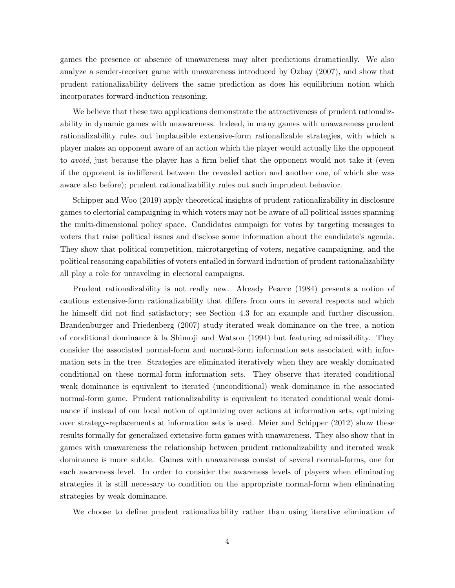games the presence or absence of unawareness may alter predictions dramatically. We also analyze a sender-receiver game with unawareness introduced by Ozbay (2007), and show that prudent rationalizability delivers the same prediction as does his equilibrium notion which incorporates forward-induction reasoning.

We believe that these two applications demonstrate the attractiveness of prudent rationalizability in dynamic games with unawareness. Indeed, in many games with unawareness prudent rationalizability rules out implausible extensive-form rationalizable strategies, with which a player makes an opponent aware of an action which the player would actually like the opponent to avoid, just because the player has a firm belief that the opponent would not take it (even if the opponent is indifferent between the revealed action and another one, of which she was aware also before); prudent rationalizability rules out such imprudent behavior.

Schipper and Woo (2019) apply theoretical insights of prudent rationalizability in disclosure games to electorial campaigning in which voters may not be aware of all political issues spanning the multi-dimensional policy space. Candidates campaign for votes by targeting messages to voters that raise political issues and disclose some information about the candidate's agenda. They show that political competition, microtargeting of voters, negative campaigning, and the political reasoning capabilities of voters entailed in forward induction of prudent rationalizability all play a role for unraveling in electoral campaigns.

Prudent rationalizability is not really new. Already Pearce (1984) presents a notion of cautious extensive-form rationalizability that differs from ours in several respects and which he himself did not find satisfactory; see Section 4.3 for an example and further discussion. Brandenburger and Friedenberg (2007) study iterated weak dominance on the tree, a notion of conditional dominance à la Shimoji and Watson (1994) but featuring admissibility. They consider the associated normal-form and normal-form information sets associated with information sets in the tree. Strategies are eliminated iteratively when they are weakly dominated conditional on these normal-form information sets. They observe that iterated conditional weak dominance is equivalent to iterated (unconditional) weak dominance in the associated normal-form game. Prudent rationalizability is equivalent to iterated conditional weak dominance if instead of our local notion of optimizing over actions at information sets, optimizing over strategy-replacements at information sets is used. Meier and Schipper (2012) show these results formally for generalized extensive-form games with unawareness. They also show that in games with unawareness the relationship between prudent rationalizability and iterated weak dominance is more subtle. Games with unawareness consist of several normal-forms, one for each awareness level. In order to consider the awareness levels of players when eliminating strategies it is still necessary to condition on the appropriate normal-form when eliminating strategies by weak dominance.

We choose to define prudent rationalizability rather than using iterative elimination of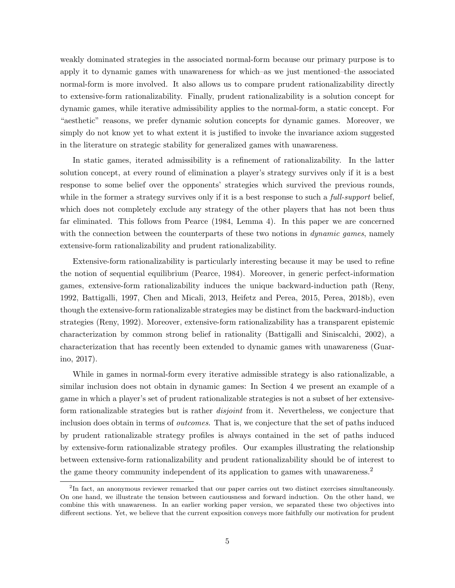weakly dominated strategies in the associated normal-form because our primary purpose is to apply it to dynamic games with unawareness for which–as we just mentioned–the associated normal-form is more involved. It also allows us to compare prudent rationalizability directly to extensive-form rationalizability. Finally, prudent rationalizability is a solution concept for dynamic games, while iterative admissibility applies to the normal-form, a static concept. For "aesthetic" reasons, we prefer dynamic solution concepts for dynamic games. Moreover, we simply do not know yet to what extent it is justified to invoke the invariance axiom suggested in the literature on strategic stability for generalized games with unawareness.

In static games, iterated admissibility is a refinement of rationalizability. In the latter solution concept, at every round of elimination a player's strategy survives only if it is a best response to some belief over the opponents' strategies which survived the previous rounds, while in the former a strategy survives only if it is a best response to such a *full-support* belief, which does not completely exclude any strategy of the other players that has not been thus far eliminated. This follows from Pearce (1984, Lemma 4). In this paper we are concerned with the connection between the counterparts of these two notions in *dynamic games*, namely extensive-form rationalizability and prudent rationalizability.

Extensive-form rationalizability is particularly interesting because it may be used to refine the notion of sequential equilibrium (Pearce, 1984). Moreover, in generic perfect-information games, extensive-form rationalizability induces the unique backward-induction path (Reny, 1992, Battigalli, 1997, Chen and Micali, 2013, Heifetz and Perea, 2015, Perea, 2018b), even though the extensive-form rationalizable strategies may be distinct from the backward-induction strategies (Reny, 1992). Moreover, extensive-form rationalizability has a transparent epistemic characterization by common strong belief in rationality (Battigalli and Siniscalchi, 2002), a characterization that has recently been extended to dynamic games with unawareness (Guarino, 2017).

While in games in normal-form every iterative admissible strategy is also rationalizable, a similar inclusion does not obtain in dynamic games: In Section 4 we present an example of a game in which a player's set of prudent rationalizable strategies is not a subset of her extensiveform rationalizable strategies but is rather *disjoint* from it. Nevertheless, we conjecture that inclusion does obtain in terms of *outcomes*. That is, we conjecture that the set of paths induced by prudent rationalizable strategy profiles is always contained in the set of paths induced by extensive-form rationalizable strategy profiles. Our examples illustrating the relationship between extensive-form rationalizability and prudent rationalizability should be of interest to the game theory community independent of its application to games with unawareness.<sup>2</sup>

<sup>&</sup>lt;sup>2</sup>In fact, an anonymous reviewer remarked that our paper carries out two distinct exercises simultaneously. On one hand, we illustrate the tension between cautiousness and forward induction. On the other hand, we combine this with unawareness. In an earlier working paper version, we separated these two objectives into different sections. Yet, we believe that the current exposition conveys more faithfully our motivation for prudent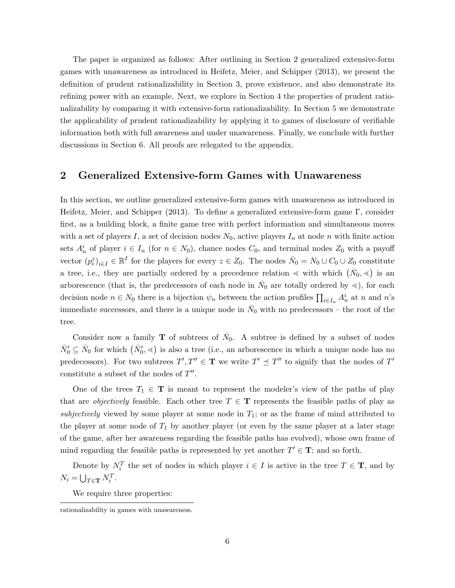The paper is organized as follows: After outlining in Section 2 generalized extensive-form games with unawareness as introduced in Heifetz, Meier, and Schipper (2013), we present the definition of prudent rationalizability in Section 3, prove existence, and also demonstrate its refining power with an example. Next, we explore in Section 4 the properties of prudent rationalizability by comparing it with extensive-form rationalizability. In Section 5 we demonstrate the applicability of prudent rationalizability by applying it to games of disclosure of verifiable information both with full awareness and under unawareness. Finally, we conclude with further discussions in Section 6. All proofs are relegated to the appendix.

### 2 Generalized Extensive-form Games with Unawareness

In this section, we outline generalized extensive-form games with unawareness as introduced in Heifetz, Meier, and Schipper (2013). To define a generalized extensive-form game Γ, consider first, as a building block, a finite game tree with perfect information and simultaneous moves with a set of players I, a set of decision nodes  $N_0$ , active players  $I_n$  at node n with finite action sets  $A_n^i$  of player  $i \in I_n$  (for  $n \in N_0$ ), chance nodes  $C_0$ , and terminal nodes  $Z_0$  with a payoff vector  $(p_i^z)_{i\in I} \in \mathbb{R}^I$  for the players for every  $z \in Z_0$ . The nodes  $\bar{N}_0 = N_0 \cup C_0 \cup Z_0$  constitute a tree, i.e., they are partially ordered by a precedence relation  $\lt$  with which  $(\bar{N}_0, \lt)$  is an arborescence (that is, the predecessors of each node in  $\bar{N}_0$  are totally ordered by  $\leq$ ), for each decision node  $n \in N_0$  there is a bijection  $\psi_n$  between the action profiles  $\prod_{i \in I_n} A_n^i$  at n and n's immediate successors, and there is a unique node in  $\bar{N}_0$  with no predecessors – the root of the tree.

Consider now a family **T** of subtrees of  $\bar{N}_0$ . A subtree is defined by a subset of nodes  $\bar{N}'_0 \subseteq \bar{N}_0$  for which  $(\bar{N}'_0, \leq)$  is also a tree (i.e., an arborescence in which a unique node has no predecessors). For two subtrees  $T', T'' \in T$  we write  $T' \preceq T''$  to signify that the nodes of  $T'$ constitute a subset of the nodes of  $T''$ .

One of the trees  $T_1 \in \mathbf{T}$  is meant to represent the modeler's view of the paths of play that are *objectively* feasible. Each other tree  $T \in \mathbf{T}$  represents the feasible paths of play as subjectively viewed by some player at some node in  $T_1$ ; or as the frame of mind attributed to the player at some node of  $T_1$  by another player (or even by the same player at a later stage of the game, after her awareness regarding the feasible paths has evolved), whose own frame of mind regarding the feasible paths is represented by yet another  $T' \in \mathbf{T}$ ; and so forth.

Denote by  $N_i^T$  the set of nodes in which player  $i \in I$  is active in the tree  $T \in \mathbf{T}$ , and by  $N_i = \bigcup_{T \in \mathbf{T}} N_i^T.$ 

We require three properties:

rationalizability in games with unawareness.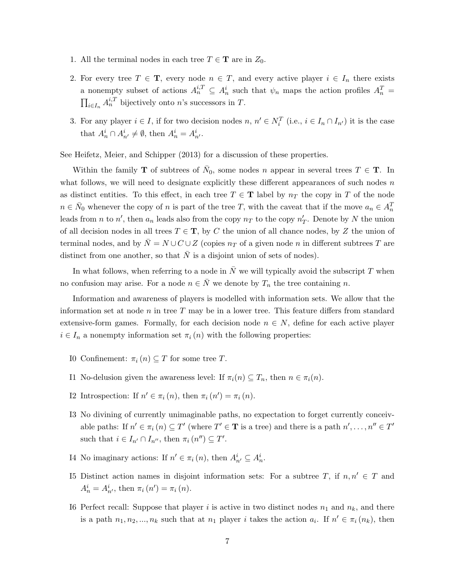- 1. All the terminal nodes in each tree  $T \in \mathbf{T}$  are in  $Z_0$ .
- 2. For every tree  $T \in \mathbf{T}$ , every node  $n \in T$ , and every active player  $i \in I_n$  there exists a nonempty subset of actions  $A_n^{i,T} \subseteq A_n^i$  such that  $\psi_n$  maps the action profiles  $A_n^T =$  $\prod_{i\in I_n} A_n^{i,T}$  bijectively onto n's successors in T.
- 3. For any player  $i \in I$ , if for two decision nodes  $n, n' \in N_i^T$  (i.e.,  $i \in I_n \cap I_{n'}$ ) it is the case that  $A_n^i \cap A_{n'}^i \neq \emptyset$ , then  $A_n^i = A_{n'}^i$ .

See Heifetz, Meier, and Schipper (2013) for a discussion of these properties.

Within the family **T** of subtrees of  $\bar{N}_0$ , some nodes n appear in several trees  $T \in \mathbf{T}$ . In what follows, we will need to designate explicitly these different appearances of such nodes  $n$ as distinct entities. To this effect, in each tree  $T \in \mathbf{T}$  label by  $n_T$  the copy in T of the node  $n \in \bar{N}_0$  whenever the copy of n is part of the tree T, with the caveat that if the move  $a_n \in A_n^T$ leads from *n* to *n'*, then  $a_n$  leads also from the copy  $n_T$  to the copy  $n_T'$ . Denote by N the union of all decision nodes in all trees  $T \in \mathbf{T}$ , by C the union of all chance nodes, by Z the union of terminal nodes, and by  $\overline{N} = N \cup C \cup Z$  (copies  $n_T$  of a given node n in different subtrees T are distinct from one another, so that  $\overline{N}$  is a disjoint union of sets of nodes).

In what follows, when referring to a node in  $\bar{N}$  we will typically avoid the subscript T when no confusion may arise. For a node  $n \in \overline{N}$  we denote by  $T_n$  the tree containing n.

Information and awareness of players is modelled with information sets. We allow that the information set at node n in tree T may be in a lower tree. This feature differs from standard extensive-form games. Formally, for each decision node  $n \in N$ , define for each active player  $i \in I_n$  a nonempty information set  $\pi_i(n)$  with the following properties:

- I0 Confinement:  $\pi_i(n) \subseteq T$  for some tree T.
- I1 No-delusion given the awareness level: If  $\pi_i(n) \subseteq T_n$ , then  $n \in \pi_i(n)$ .
- I2 Introspection: If  $n' \in \pi_i(n)$ , then  $\pi_i(n') = \pi_i(n)$ .
- I3 No divining of currently unimaginable paths, no expectation to forget currently conceivable paths: If  $n' \in \pi_i$   $(n) \subseteq T'$  (where  $T' \in \mathbf{T}$  is a tree) and there is a path  $n', \ldots, n'' \in T'$ such that  $i \in I_{n'} \cap I_{n''}$ , then  $\pi_i(n'') \subseteq T'$ .
- I4 No imaginary actions: If  $n' \in \pi_i(n)$ , then  $A_{n'}^i \subseteq A_n^i$ .
- I5 Distinct action names in disjoint information sets: For a subtree T, if  $n, n' \in T$  and  $A_n^i = A_{n'}^i$ , then  $\pi_i(n') = \pi_i(n)$ .
- I6 Perfect recall: Suppose that player i is active in two distinct nodes  $n_1$  and  $n_k$ , and there is a path  $n_1, n_2, ..., n_k$  such that at  $n_1$  player i takes the action  $a_i$ . If  $n' \in \pi_i(n_k)$ , then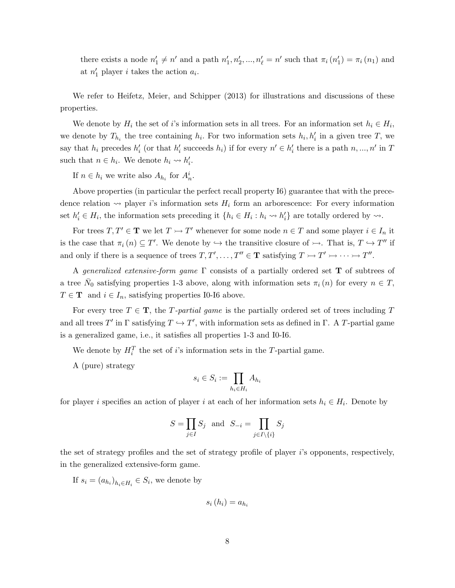there exists a node  $n'_1 \neq n'$  and a path  $n'_1, n'_2, ..., n'_\ell = n'$  such that  $\pi_i(n'_1) = \pi_i(n_1)$  and at  $n'_1$  player *i* takes the action  $a_i$ .

We refer to Heifetz, Meier, and Schipper (2013) for illustrations and discussions of these properties.

We denote by  $H_i$  the set of i's information sets in all trees. For an information set  $h_i \in H_i$ , we denote by  $T_{h_i}$  the tree containing  $h_i$ . For two information sets  $h_i, h'_i$  in a given tree T, we say that  $h_i$  precedes  $h'_i$  (or that  $h'_i$  succeeds  $h_i$ ) if for every  $n' \in h'_i$  there is a path  $n, ..., n'$  in T such that  $n \in h_i$ . We denote  $h_i \leadsto h'_i$ .

If  $n \in h_i$  we write also  $A_{h_i}$  for  $A_n^i$ .

Above properties (in particular the perfect recall property I6) guarantee that with the precedence relation  $\rightsquigarrow$  player i's information sets  $H_i$  form an arborescence: For every information set  $h'_i \in H_i$ , the information sets preceding it  $\{h_i \in H_i : h_i \leadsto h'_i\}$  are totally ordered by  $\leadsto$ .

For trees  $T, T' \in \mathbf{T}$  we let  $T \rightarrowtail T'$  whenever for some node  $n \in T$  and some player  $i \in I_n$  it is the case that  $\pi_i(n) \subseteq T'$ . We denote by  $\hookrightarrow$  the transitive closure of  $\rightarrow$ . That is,  $T \hookrightarrow T''$  if and only if there is a sequence of trees  $T, T', \ldots, T'' \in \mathbf{T}$  satisfying  $T \rightarrowtail T' \rightarrowtail \cdots \rightarrowtail T''$ .

A generalized extensive-form game  $\Gamma$  consists of a partially ordered set **T** of subtrees of a tree  $\bar{N}_0$  satisfying properties 1-3 above, along with information sets  $\pi_i(n)$  for every  $n \in T$ ,  $T \in \mathbf{T}$  and  $i \in I_n$ , satisfying properties I0-I6 above.

For every tree  $T \in \mathbf{T}$ , the T-partial game is the partially ordered set of trees including T and all trees T' in  $\Gamma$  satisfying  $T \hookrightarrow T'$ , with information sets as defined in  $\Gamma$ . A T-partial game is a generalized game, i.e., it satisfies all properties 1-3 and I0-I6.

We denote by  $H_i^T$  the set of *i*'s information sets in the T-partial game.

A (pure) strategy

$$
s_i \in S_i := \prod_{h_i \in H_i} A_{h_i}
$$

for player i specifies an action of player i at each of her information sets  $h_i \in H_i$ . Denote by

$$
S=\prod_{j\in I}S_j\ \ \text{and}\ \ S_{-i}=\prod_{j\in I\backslash\{i\}}S_j
$$

the set of strategy profiles and the set of strategy profile of player i's opponents, respectively, in the generalized extensive-form game.

If  $s_i = (a_{h_i})_{h_i \in H_i} \in S_i$ , we denote by

$$
s_i(h_i) = a_{h_i}
$$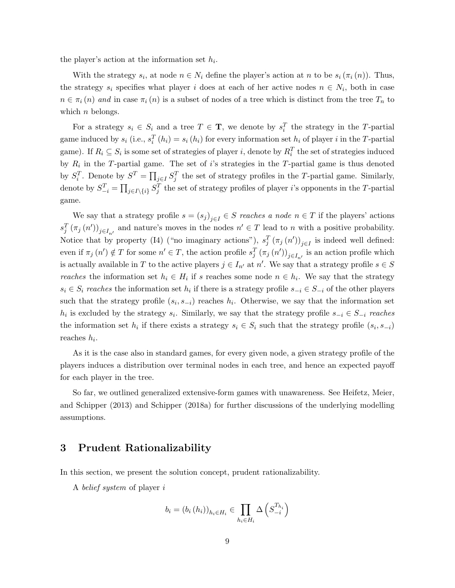the player's action at the information set  $h_i$ .

With the strategy  $s_i$ , at node  $n \in N_i$  define the player's action at n to be  $s_i(\pi_i(n))$ . Thus, the strategy  $s_i$  specifies what player i does at each of her active nodes  $n \in N_i$ , both in case  $n \in \pi_i(n)$  and in case  $\pi_i(n)$  is a subset of nodes of a tree which is distinct from the tree  $T_n$  to which  $n$  belongs.

For a strategy  $s_i \in S_i$  and a tree  $T \in \mathbf{T}$ , we denote by  $s_i^T$  the strategy in the T-partial game induced by  $s_i$  (i.e.,  $s_i^T(h_i) = s_i(h_i)$  for every information set  $h_i$  of player i in the T-partial game). If  $R_i \subseteq S_i$  is some set of strategies of player i, denote by  $R_i^T$  the set of strategies induced by  $R_i$  in the T-partial game. The set of i's strategies in the T-partial game is thus denoted by  $S_i^T$ . Denote by  $S^T = \prod_{j \in I} S_j^T$  the set of strategy profiles in the T-partial game. Similarly, denote by  $S_{-i}^T = \prod_{j\in I\setminus\{i\}} S_j^T$  the set of strategy profiles of player *i*'s opponents in the T-partial game.

We say that a strategy profile  $s = (s_j)_{j \in I} \in S$  reaches a node  $n \in T$  if the players' actions  $s_j^T(\pi_j(n'))_{j\in I_{n'}}$  and nature's moves in the nodes  $n' \in T$  lead to n with a positive probability. Notice that by property (I4) ("no imaginary actions"),  $s_j^T(\pi_j(n'))_{j\in I}$  is indeed well defined: even if  $\pi_j(n') \notin T$  for some  $n' \in T$ , the action profile  $s_j^T(\pi_j(n'))_{j \in I_{n'}}$  is an action profile which is actually available in T to the active players  $j \in I_{n'}$  at n'. We say that a strategy profile  $s \in S$ reaches the information set  $h_i \in H_i$  if s reaches some node  $n \in h_i$ . We say that the strategy  $s_i \in S_i$  reaches the information set  $h_i$  if there is a strategy profile  $s_{-i} \in S_{-i}$  of the other players such that the strategy profile  $(s_i, s_{-i})$  reaches  $h_i$ . Otherwise, we say that the information set  $h_i$  is excluded by the strategy  $s_i$ . Similarly, we say that the strategy profile  $s_{-i} \in S_{-i}$  reaches the information set  $h_i$  if there exists a strategy  $s_i \in S_i$  such that the strategy profile  $(s_i, s_{-i})$ reaches  $h_i$ .

As it is the case also in standard games, for every given node, a given strategy profile of the players induces a distribution over terminal nodes in each tree, and hence an expected payoff for each player in the tree.

So far, we outlined generalized extensive-form games with unawareness. See Heifetz, Meier, and Schipper (2013) and Schipper (2018a) for further discussions of the underlying modelling assumptions.

### 3 Prudent Rationalizability

In this section, we present the solution concept, prudent rationalizability.

A belief system of player i

$$
b_i = (b_i (h_i))_{h_i \in H_i} \in \prod_{h_i \in H_i} \Delta \left( S_{-i}^{T_{h_i}} \right)
$$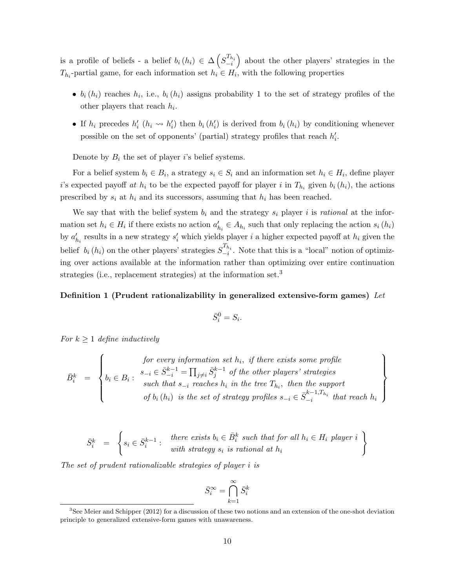is a profile of beliefs - a belief  $b_i(h_i) \in \Delta\left(S_{-i}^{T_{h_i}}\right)$  about the other players' strategies in the  $T_{h_i}$ -partial game, for each information set  $h_i \in H_i$ , with the following properties

- $b_i(h_i)$  reaches  $h_i$ , i.e.,  $b_i(h_i)$  assigns probability 1 to the set of strategy profiles of the other players that reach  $h_i$ .
- If  $h_i$  precedes  $h'_i$  ( $h_i \leadsto h'_i$ ) then  $b_i(h'_i)$  is derived from  $b_i(h_i)$  by conditioning whenever possible on the set of opponents' (partial) strategy profiles that reach  $h'_i$ .

Denote by  $B_i$  the set of player i's belief systems.

For a belief system  $b_i \in B_i$ , a strategy  $s_i \in S_i$  and an information set  $h_i \in H_i$ , define player i's expected payoff at  $h_i$  to be the expected payoff for player i in  $T_{h_i}$  given  $b_i(h_i)$ , the actions prescribed by  $s_i$  at  $h_i$  and its successors, assuming that  $h_i$  has been reached.

We say that with the belief system  $b_i$  and the strategy  $s_i$  player i is rational at the information set  $h_i \in H_i$  if there exists no action  $a'_{h_i} \in A_{h_i}$  such that only replacing the action  $s_i(h_i)$ by  $a'_{h_i}$  results in a new strategy  $s'_i$  which yields player i a higher expected payoff at  $h_i$  given the belief  $b_i(h_i)$  on the other players' strategies  $S_{-i}^{T_{h_i}}$ . Note that this is a "local" notion of optimizing over actions available at the information rather than optimizing over entire continuation strategies (i.e., replacement strategies) at the information set.<sup>3</sup>

#### Definition 1 (Prudent rationalizability in generalized extensive-form games) Let

$$
\bar{S}_i^0 = S_i.
$$

For  $k \geq 1$  define inductively

$$
\bar{B}_i^k = \left\{ \begin{aligned} &\text{for every information set } h_i, \text{ if there exists some profile} \\ &b_i \in B_i: \begin{cases} s_{-i} \in \bar{S}_{-i}^{k-1} = \prod_{j \neq i} \bar{S}_j^{k-1} \text{ of the other players' strategies} \\ &\text{such that } s_{-i} \text{ reaches } h_i \text{ in the tree } T_{h_i}, \text{ then the support} \\ &\text{of } b_i \left( h_i \right) \text{ is the set of strategy profiles } s_{-i} \in \bar{S}_{-i}^{k-1, T_{h_i}} \text{ that reach } h_i \end{cases} \right\}
$$

$$
\bar{S}_i^k = \left\{ s_i \in \bar{S}_i^{k-1} : \begin{array}{c} \text{there exists } b_i \in \bar{B}_i^k \text{ such that for all } h_i \in H_i \text{ player } i \\ \text{with strategy } s_i \text{ is rational at } h_i \end{array} \right\}
$$

The set of prudent rationalizable strategies of player i is

$$
\bar{S}^{\infty}_i = \bigcap_{k=1}^{\infty} \bar{S}^{k}_i
$$

<sup>&</sup>lt;sup>3</sup>See Meier and Schipper (2012) for a discussion of these two notions and an extension of the one-shot deviation principle to generalized extensive-form games with unawareness.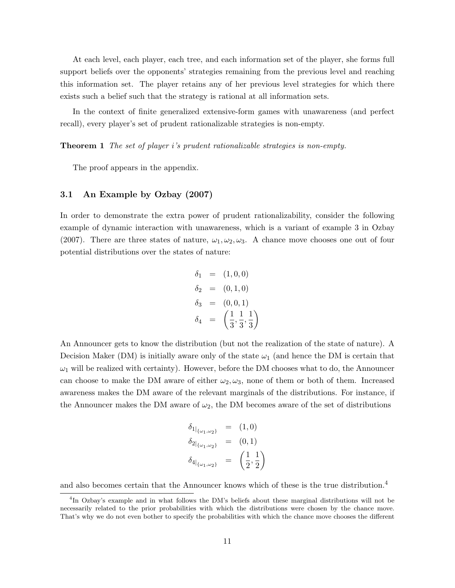At each level, each player, each tree, and each information set of the player, she forms full support beliefs over the opponents' strategies remaining from the previous level and reaching this information set. The player retains any of her previous level strategies for which there exists such a belief such that the strategy is rational at all information sets.

In the context of finite generalized extensive-form games with unawareness (and perfect recall), every player's set of prudent rationalizable strategies is non-empty.

**Theorem 1** The set of player i's prudent rationalizable strategies is non-empty.

The proof appears in the appendix.

#### 3.1 An Example by Ozbay (2007)

In order to demonstrate the extra power of prudent rationalizability, consider the following example of dynamic interaction with unawareness, which is a variant of example 3 in Ozbay (2007). There are three states of nature,  $\omega_1, \omega_2, \omega_3$ . A chance move chooses one out of four potential distributions over the states of nature:

$$
\delta_1 = (1, 0, 0) \n\delta_2 = (0, 1, 0) \n\delta_3 = (0, 0, 1) \n\delta_4 = \left(\frac{1}{3}, \frac{1}{3}, \frac{1}{3}\right)
$$

An Announcer gets to know the distribution (but not the realization of the state of nature). A Decision Maker (DM) is initially aware only of the state  $\omega_1$  (and hence the DM is certain that  $\omega_1$  will be realized with certainty). However, before the DM chooses what to do, the Announcer can choose to make the DM aware of either  $\omega_2, \omega_3$ , none of them or both of them. Increased awareness makes the DM aware of the relevant marginals of the distributions. For instance, if the Announcer makes the DM aware of  $\omega_2$ , the DM becomes aware of the set of distributions

$$
\begin{array}{rcl} \delta_{1|_{\{\omega_1,\omega_2\}}} & = & (1,0) \\ \delta_{2|_{\{\omega_1,\omega_2\}}} & = & (0,1) \\ \delta_{4|_{\{\omega_1,\omega_2\}}} & = & \left(\frac{1}{2},\frac{1}{2}\right) \end{array}
$$

and also becomes certain that the Announcer knows which of these is the true distribution.<sup>4</sup>

<sup>4</sup> In Ozbay's example and in what follows the DM's beliefs about these marginal distributions will not be necessarily related to the prior probabilities with which the distributions were chosen by the chance move. That's why we do not even bother to specify the probabilities with which the chance move chooses the different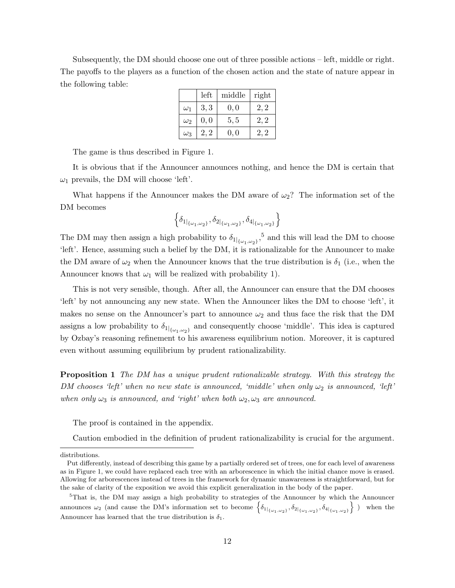Subsequently, the DM should choose one out of three possible actions – left, middle or right. The payoffs to the players as a function of the chosen action and the state of nature appear in the following table:

|            | left | middle | right |
|------------|------|--------|-------|
| $\omega_1$ | 3, 3 | 0, 0   | 2, 2  |
| $\omega_2$ | 0,0  | 5, 5   | 2, 2  |
| $\omega_3$ | 2, 2 | 0, 0   | 2, 2  |

The game is thus described in Figure 1.

It is obvious that if the Announcer announces nothing, and hence the DM is certain that  $\omega_1$  prevails, the DM will choose 'left'.

What happens if the Announcer makes the DM aware of  $\omega_2$ ? The information set of the DM becomes

$$
\left\{\delta_{1|_{\{\omega_1,\omega_2\}}},\delta_{2|_{\{\omega_1,\omega_2\}}},\delta_{4|_{\{\omega_1,\omega_2\}}}\right\}
$$

The DM may then assign a high probability to  $\delta_{1|\{\omega_1,\omega_2\}}$ ,<sup>5</sup> and this will lead the DM to choose 'left'. Hence, assuming such a belief by the DM, it is rationalizable for the Announcer to make the DM aware of  $\omega_2$  when the Announcer knows that the true distribution is  $\delta_1$  (i.e., when the Announcer knows that  $\omega_1$  will be realized with probability 1).

This is not very sensible, though. After all, the Announcer can ensure that the DM chooses 'left' by not announcing any new state. When the Announcer likes the DM to choose 'left', it makes no sense on the Announcer's part to announce  $\omega_2$  and thus face the risk that the DM assigns a low probability to  $\delta_{1|_{\{\omega_1,\omega_2\}}}$  and consequently choose 'middle'. This idea is captured by Ozbay's reasoning refinement to his awareness equilibrium notion. Moreover, it is captured even without assuming equilibrium by prudent rationalizability.

Proposition 1 The DM has a unique prudent rationalizable strategy. With this strategy the DM chooses 'left' when no new state is announced, 'middle' when only  $\omega_2$  is announced, 'left' when only  $\omega_3$  is announced, and 'right' when both  $\omega_2, \omega_3$  are announced.

The proof is contained in the appendix.

Caution embodied in the definition of prudent rationalizability is crucial for the argument.

distributions.

Put differently, instead of describing this game by a partially ordered set of trees, one for each level of awareness as in Figure 1, we could have replaced each tree with an arborescence in which the initial chance move is erased. Allowing for arborescences instead of trees in the framework for dynamic unawareness is straightforward, but for the sake of clarity of the exposition we avoid this explicit generalization in the body of the paper.

<sup>&</sup>lt;sup>5</sup>That is, the DM may assign a high probability to strategies of the Announcer by which the Announcer announces  $\omega_2$  (and cause the DM's information set to become  $\left\{\delta_1|_{\{\omega_1,\omega_2\}}, \delta_2|_{\{\omega_1,\omega_2\}}, \delta_4|_{\{\omega_1,\omega_2\}}\right\}$ ) when the Announcer has learned that the true distribution is  $\delta_1$ .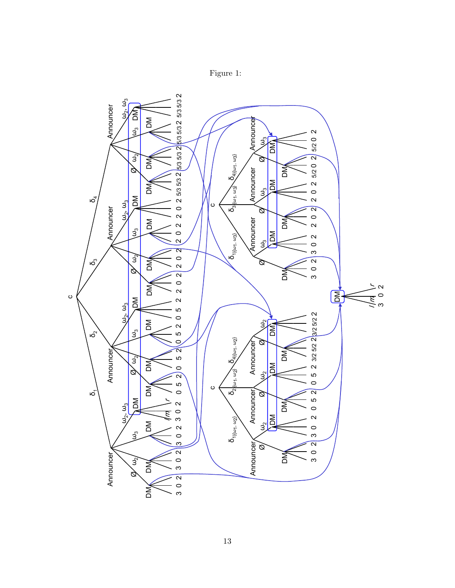

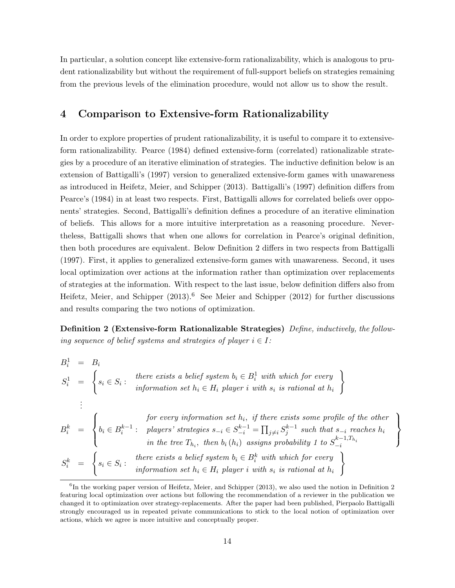In particular, a solution concept like extensive-form rationalizability, which is analogous to prudent rationalizability but without the requirement of full-support beliefs on strategies remaining from the previous levels of the elimination procedure, would not allow us to show the result.

## 4 Comparison to Extensive-form Rationalizability

In order to explore properties of prudent rationalizability, it is useful to compare it to extensiveform rationalizability. Pearce (1984) defined extensive-form (correlated) rationalizable strategies by a procedure of an iterative elimination of strategies. The inductive definition below is an extension of Battigalli's (1997) version to generalized extensive-form games with unawareness as introduced in Heifetz, Meier, and Schipper (2013). Battigalli's (1997) definition differs from Pearce's (1984) in at least two respects. First, Battigalli allows for correlated beliefs over opponents' strategies. Second, Battigalli's definition defines a procedure of an iterative elimination of beliefs. This allows for a more intuitive interpretation as a reasoning procedure. Nevertheless, Battigalli shows that when one allows for correlation in Pearce's original definition, then both procedures are equivalent. Below Definition 2 differs in two respects from Battigalli (1997). First, it applies to generalized extensive-form games with unawareness. Second, it uses local optimization over actions at the information rather than optimization over replacements of strategies at the information. With respect to the last issue, below definition differs also from Heifetz, Meier, and Schipper  $(2013)$ .<sup>6</sup> See Meier and Schipper  $(2012)$  for further discussions and results comparing the two notions of optimization.

Definition 2 (Extensive-form Rationalizable Strategies) Define, inductively, the following sequence of belief systems and strategies of player  $i \in I$ :

| $B_i^1 = B_i$ |                                                                                                                                                                                                                                                                                                                                                                                                                                                      |
|---------------|------------------------------------------------------------------------------------------------------------------------------------------------------------------------------------------------------------------------------------------------------------------------------------------------------------------------------------------------------------------------------------------------------------------------------------------------------|
|               | $S_i^1 = \begin{cases} s_i \in S_i : \end{cases}$<br>there exists a belief system $b_i \in B_i^1$ with which for every<br>information set $h_i \in H_i$ player i with $s_i$ is rational at $h_i$                                                                                                                                                                                                                                                     |
|               |                                                                                                                                                                                                                                                                                                                                                                                                                                                      |
|               | $B_i^k = \begin{cases} \begin{aligned} &\textit{for every information set } h_i, \textit{ if there exists some profile of the other} \ b_i \in B_i^{k-1}: &\textit{ players' strategies } s_{-i} \in S_{-i}^{k-1} = \prod_{j \neq i} S_j^{k-1} \textit{ such that } s_{-i} \textit{ reaches } h_i \end{aligned} \\ &\textit{in the tree } T_{h_i}, \textit{ then } b_i(h_i) \textit{ assigns probability 1 to } S_{-i}^{k-1, T_{h_i}} \end{aligned}$ |
|               | $S_i^k = \begin{cases} s_i \in S_i : \begin{array}{c} \text{there exists a belief system } b_i \in B_i^k \text{ with which for every} \\ \text{information set } h_i \in H_i \text{ player } i \text{ with } s_i \text{ is rational at } h_i \end{array} \end{cases}$                                                                                                                                                                                |

 $\mathcal{L}$  $\overline{\mathcal{L}}$ 

 $\int$ 

<sup>&</sup>lt;sup>6</sup>In the working paper version of Heifetz, Meier, and Schipper (2013), we also used the notion in Definition 2 featuring local optimization over actions but following the recommendation of a reviewer in the publication we changed it to optimization over strategy-replacements. After the paper had been published, Pierpaolo Battigalli strongly encouraged us in repeated private communications to stick to the local notion of optimization over actions, which we agree is more intuitive and conceptually proper.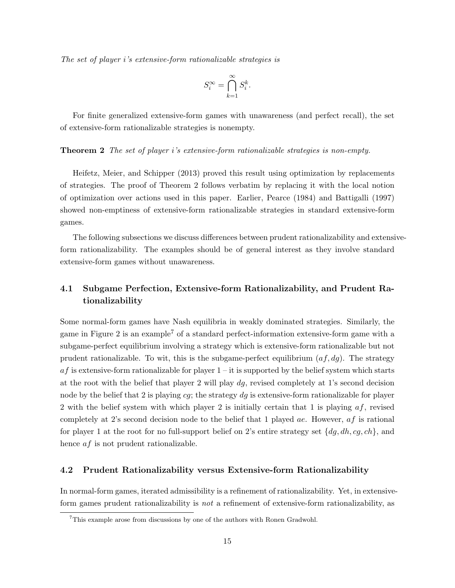The set of player i's extensive-form rationalizable strategies is

$$
S_i^{\infty} = \bigcap_{k=1}^{\infty} S_i^k.
$$

For finite generalized extensive-form games with unawareness (and perfect recall), the set of extensive-form rationalizable strategies is nonempty.

#### **Theorem 2** The set of player i's extensive-form rationalizable strategies is non-empty.

Heifetz, Meier, and Schipper (2013) proved this result using optimization by replacements of strategies. The proof of Theorem 2 follows verbatim by replacing it with the local notion of optimization over actions used in this paper. Earlier, Pearce (1984) and Battigalli (1997) showed non-emptiness of extensive-form rationalizable strategies in standard extensive-form games.

The following subsections we discuss differences between prudent rationalizability and extensiveform rationalizability. The examples should be of general interest as they involve standard extensive-form games without unawareness.

# 4.1 Subgame Perfection, Extensive-form Rationalizability, and Prudent Rationalizability

Some normal-form games have Nash equilibria in weakly dominated strategies. Similarly, the game in Figure 2 is an example<sup>7</sup> of a standard perfect-information extensive-form game with a subgame-perfect equilibrium involving a strategy which is extensive-form rationalizable but not prudent rationalizable. To wit, this is the subgame-perfect equilibrium  $(af, dq)$ . The strategy  $af$  is extensive-form rationalizable for player  $1 - it$  is supported by the belief system which starts at the root with the belief that player 2 will play  $dg$ , revised completely at 1's second decision node by the belief that 2 is playing cg; the strategy  $dg$  is extensive-form rationalizable for player 2 with the belief system with which player 2 is initially certain that 1 is playing  $af$ , revised completely at 2's second decision node to the belief that 1 played *ae*. However,  $af$  is rational for player 1 at the root for no full-support belief on 2's entire strategy set  $\{dg, dh, cg, ch\}$ , and hence *af* is not prudent rationalizable.

#### 4.2 Prudent Rationalizability versus Extensive-form Rationalizability

In normal-form games, iterated admissibility is a refinement of rationalizability. Yet, in extensiveform games prudent rationalizability is not a refinement of extensive-form rationalizability, as

<sup>7</sup>This example arose from discussions by one of the authors with Ronen Gradwohl.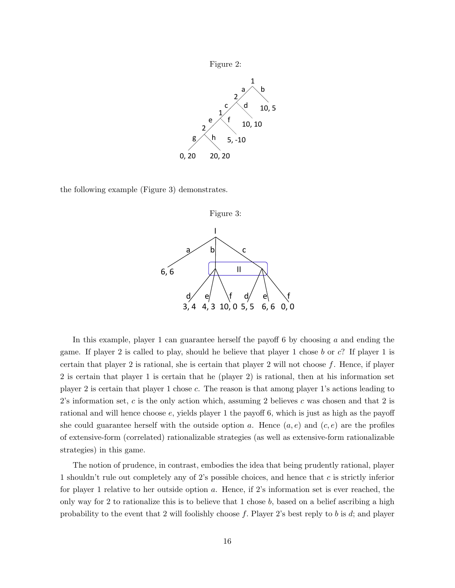

the following example (Figure 3) demonstrates.



In this example, player 1 can guarantee herself the payoff 6 by choosing  $a$  and ending the game. If player 2 is called to play, should he believe that player 1 chose b or c? If player 1 is certain that player 2 is rational, she is certain that player 2 will not choose  $f$ . Hence, if player 2 is certain that player 1 is certain that he (player 2) is rational, then at his information set player 2 is certain that player 1 chose c. The reason is that among player 1's actions leading to 2's information set, c is the only action which, assuming 2 believes c was chosen and that 2 is rational and will hence choose e, yields player 1 the payoff 6, which is just as high as the payoff she could guarantee herself with the outside option a. Hence  $(a, e)$  and  $(c, e)$  are the profiles of extensive-form (correlated) rationalizable strategies (as well as extensive-form rationalizable strategies) in this game.

The notion of prudence, in contrast, embodies the idea that being prudently rational, player 1 shouldn't rule out completely any of 2's possible choices, and hence that c is strictly inferior for player 1 relative to her outside option a. Hence, if 2's information set is ever reached, the only way for 2 to rationalize this is to believe that 1 chose  $b$ , based on a belief ascribing a high probability to the event that 2 will foolishly choose  $f$ . Player 2's best reply to  $b$  is  $d$ ; and player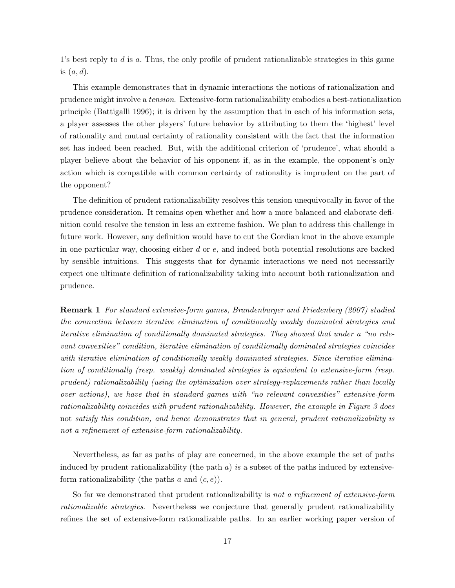1's best reply to d is a. Thus, the only profile of prudent rationalizable strategies in this game is  $(a, d)$ .

This example demonstrates that in dynamic interactions the notions of rationalization and prudence might involve a tension. Extensive-form rationalizability embodies a best-rationalization principle (Battigalli 1996); it is driven by the assumption that in each of his information sets, a player assesses the other players' future behavior by attributing to them the 'highest' level of rationality and mutual certainty of rationality consistent with the fact that the information set has indeed been reached. But, with the additional criterion of 'prudence', what should a player believe about the behavior of his opponent if, as in the example, the opponent's only action which is compatible with common certainty of rationality is imprudent on the part of the opponent?

The definition of prudent rationalizability resolves this tension unequivocally in favor of the prudence consideration. It remains open whether and how a more balanced and elaborate definition could resolve the tension in less an extreme fashion. We plan to address this challenge in future work. However, any definition would have to cut the Gordian knot in the above example in one particular way, choosing either  $d$  or  $e$ , and indeed both potential resolutions are backed by sensible intuitions. This suggests that for dynamic interactions we need not necessarily expect one ultimate definition of rationalizability taking into account both rationalization and prudence.

Remark 1 For standard extensive-form games, Brandenburger and Friedenberg (2007) studied the connection between iterative elimination of conditionally weakly dominated strategies and iterative elimination of conditionally dominated strategies. They showed that under a "no relevant convexities" condition, iterative elimination of conditionally dominated strategies coincides with iterative elimination of conditionally weakly dominated strategies. Since iterative elimination of conditionally (resp. weakly) dominated strategies is equivalent to extensive-form (resp. prudent) rationalizability (using the optimization over strategy-replacements rather than locally over actions), we have that in standard games with "no relevant convexities" extensive-form rationalizability coincides with prudent rationalizability. However, the example in Figure 3 does not satisfy this condition, and hence demonstrates that in general, prudent rationalizability is not a refinement of extensive-form rationalizability.

Nevertheless, as far as paths of play are concerned, in the above example the set of paths induced by prudent rationalizability (the path  $a$ ) is a subset of the paths induced by extensiveform rationalizability (the paths  $a$  and  $(c, e)$ ).

So far we demonstrated that prudent rationalizability is not a refinement of extensive-form rationalizable strategies. Nevertheless we conjecture that generally prudent rationalizability refines the set of extensive-form rationalizable paths. In an earlier working paper version of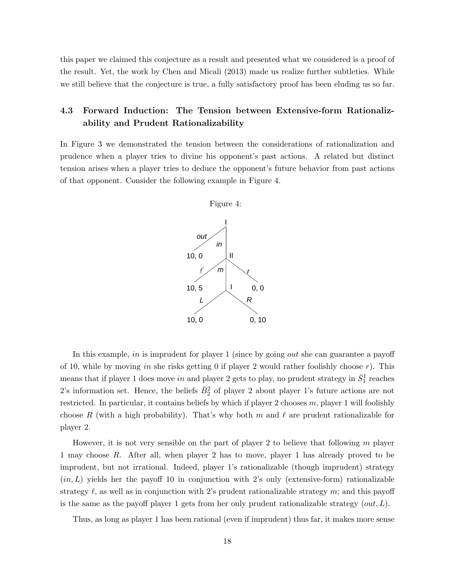this paper we claimed this conjecture as a result and presented what we considered is a proof of the result. Yet, the work by Chen and Micali (2013) made us realize further subtleties. While we still believe that the conjecture is true, a fully satisfactory proof has been eluding us so far.

# 4.3 Forward Induction: The Tension between Extensive-form Rationalizability and Prudent Rationalizability

In Figure 3 we demonstrated the tension between the considerations of rationalization and prudence when a player tries to divine his opponent's past actions. A related but distinct tension arises when a player tries to deduce the opponent's future behavior from past actions of that opponent. Consider the following example in Figure 4.



In this example, in is imprudent for player 1 (since by going *out* she can guarantee a payoff of 10, while by moving in she risks getting 0 if player 2 would rather foolishly choose  $r$ ). This means that if player 1 does move *in* and player 2 gets to play, no prudent strategy in  $\bar{S}^1_1$  reaches 2's information set. Hence, the beliefs  $\bar{B}_2^2$  of player 2 about player 1's future actions are not restricted. In particular, it contains beliefs by which if player 2 chooses  $m$ , player 1 will foolishly choose R (with a high probability). That's why both m and  $\ell$  are prudent rationalizable for player 2.

However, it is not very sensible on the part of player 2 to believe that following  $m$  player 1 may choose R. After all, when player 2 has to move, player 1 has already proved to be imprudent, but not irrational. Indeed, player 1's rationalizable (though imprudent) strategy  $(in, L)$  yields her the payoff 10 in conjunction with 2's only (extensive-form) rationalizable strategy  $\ell$ , as well as in conjunction with 2's prudent rationalizable strategy m; and this payoff is the same as the payoff player 1 gets from her only prudent rationalizable strategy  $(out, L)$ .

Thus, as long as player 1 has been rational (even if imprudent) thus far, it makes more sense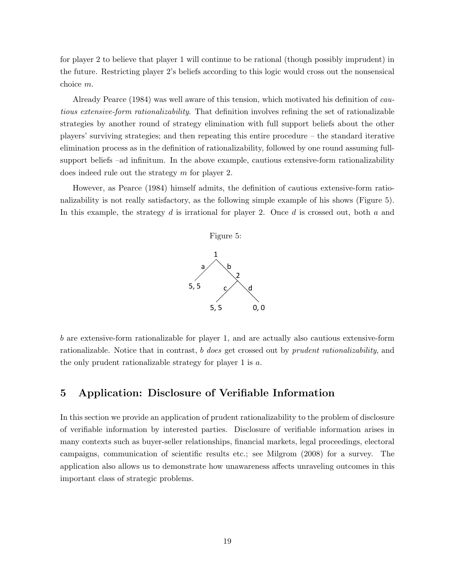for player 2 to believe that player 1 will continue to be rational (though possibly imprudent) in the future. Restricting player 2's beliefs according to this logic would cross out the nonsensical choice m.

Already Pearce (1984) was well aware of this tension, which motivated his definition of cautious extensive-form rationalizability. That definition involves refining the set of rationalizable strategies by another round of strategy elimination with full support beliefs about the other players' surviving strategies; and then repeating this entire procedure – the standard iterative elimination process as in the definition of rationalizability, followed by one round assuming fullsupport beliefs –ad infinitum. In the above example, cautious extensive-form rationalizability does indeed rule out the strategy m for player 2.

However, as Pearce (1984) himself admits, the definition of cautious extensive-form rationalizability is not really satisfactory, as the following simple example of his shows (Figure 5). In this example, the strategy  $d$  is irrational for player 2. Once  $d$  is crossed out, both  $a$  and



b are extensive-form rationalizable for player 1, and are actually also cautious extensive-form rationalizable. Notice that in contrast, b does get crossed out by prudent rationalizability, and the only prudent rationalizable strategy for player 1 is  $a$ .

# 5 Application: Disclosure of Verifiable Information

In this section we provide an application of prudent rationalizability to the problem of disclosure of verifiable information by interested parties. Disclosure of verifiable information arises in many contexts such as buyer-seller relationships, financial markets, legal proceedings, electoral campaigns, communication of scientific results etc.; see Milgrom (2008) for a survey. The application also allows us to demonstrate how unawareness affects unraveling outcomes in this important class of strategic problems.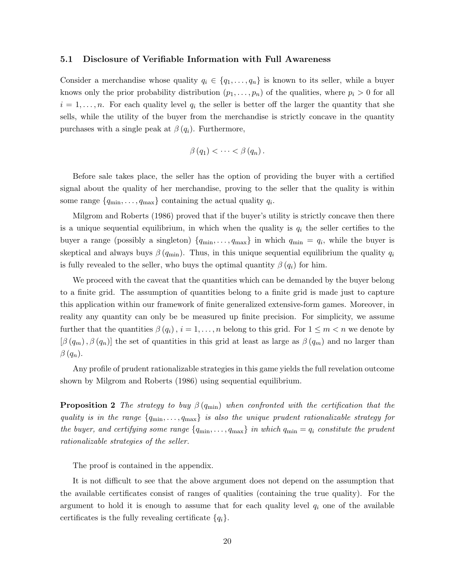#### 5.1 Disclosure of Verifiable Information with Full Awareness

Consider a merchandise whose quality  $q_i \in \{q_1, \ldots, q_n\}$  is known to its seller, while a buyer knows only the prior probability distribution  $(p_1, \ldots, p_n)$  of the qualities, where  $p_i > 0$  for all  $i = 1, \ldots, n$ . For each quality level  $q_i$  the seller is better off the larger the quantity that she sells, while the utility of the buyer from the merchandise is strictly concave in the quantity purchases with a single peak at  $\beta(q_i)$ . Furthermore,

$$
\beta(q_1) < \cdots < \beta(q_n).
$$

Before sale takes place, the seller has the option of providing the buyer with a certified signal about the quality of her merchandise, proving to the seller that the quality is within some range  $\{q_{\min}, \ldots, q_{\max}\}\$  containing the actual quality  $q_i$ .

Milgrom and Roberts (1986) proved that if the buyer's utility is strictly concave then there is a unique sequential equilibrium, in which when the quality is  $q_i$  the seller certifies to the buyer a range (possibly a singleton)  $\{q_{\min}, \ldots, q_{\max}\}\$ in which  $q_{\min} = q_i$ , while the buyer is skeptical and always buys  $\beta(q_{\min})$ . Thus, in this unique sequential equilibrium the quality  $q_i$ is fully revealed to the seller, who buys the optimal quantity  $\beta(q_i)$  for him.

We proceed with the caveat that the quantities which can be demanded by the buyer belong to a finite grid. The assumption of quantities belong to a finite grid is made just to capture this application within our framework of finite generalized extensive-form games. Moreover, in reality any quantity can only be be measured up finite precision. For simplicity, we assume further that the quantities  $\beta(q_i)$ ,  $i = 1, ..., n$  belong to this grid. For  $1 \leq m < n$  we denote by  $[\beta(q_m), \beta(q_n)]$  the set of quantities in this grid at least as large as  $\beta(q_m)$  and no larger than  $\beta(q_n)$ .

Any profile of prudent rationalizable strategies in this game yields the full revelation outcome shown by Milgrom and Roberts (1986) using sequential equilibrium.

**Proposition 2** The strategy to buy  $\beta(q_{\min})$  when confronted with the certification that the quality is in the range  $\{q_{\min}, \ldots, q_{\max}\}\$  is also the unique prudent rationalizable strategy for the buyer, and certifying some range  $\{q_{\min}, \ldots, q_{\max}\}\$ in which  $q_{\min} = q_i$  constitute the prudent rationalizable strategies of the seller.

The proof is contained in the appendix.

It is not difficult to see that the above argument does not depend on the assumption that the available certificates consist of ranges of qualities (containing the true quality). For the argument to hold it is enough to assume that for each quality level  $q_i$  one of the available certificates is the fully revealing certificate  $\{q_i\}.$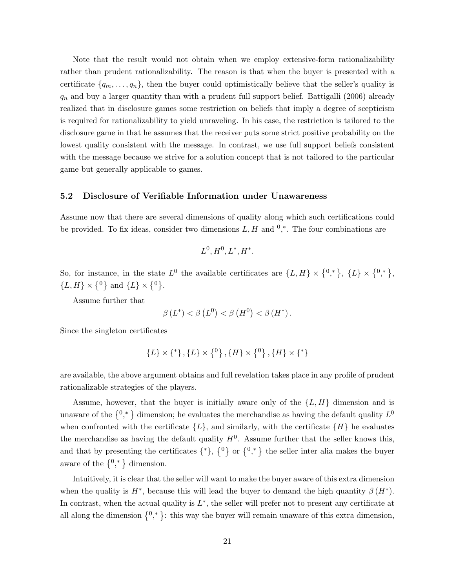Note that the result would not obtain when we employ extensive-form rationalizability rather than prudent rationalizability. The reason is that when the buyer is presented with a certificate  $\{q_m, \ldots, q_n\}$ , then the buyer could optimistically believe that the seller's quality is  $q_n$  and buy a larger quantity than with a prudent full support belief. Battigalli (2006) already realized that in disclosure games some restriction on beliefs that imply a degree of scepticism is required for rationalizability to yield unraveling. In his case, the restriction is tailored to the disclosure game in that he assumes that the receiver puts some strict positive probability on the lowest quality consistent with the message. In contrast, we use full support beliefs consistent with the message because we strive for a solution concept that is not tailored to the particular game but generally applicable to games.

#### 5.2 Disclosure of Verifiable Information under Unawareness

Assume now that there are several dimensions of quality along which such certifications could be provided. To fix ideas, consider two dimensions  $L, H$  and  $0, *$ . The four combinations are

$$
L^0, H^0, L^*, H^*.
$$

So, for instance, in the state  $L^0$  the available certificates are  $\{L, H\} \times \{0,^*,\}$ ,  $\{L\} \times \{0,^*,\}$ ,  $\{L, H\} \times \{^0\}$  and  $\{L\} \times \{^0\}.$ 

Assume further that

$$
\beta(L^*) < \beta(L^0) < \beta(H^0) < \beta(H^*)\,.
$$

Since the singleton certificates

$$
\{L\} \times \{^*\}, \{L\} \times \{^0\}, \{H\} \times \{^0\}, \{H\} \times \{^*\}
$$

are available, the above argument obtains and full revelation takes place in any profile of prudent rationalizable strategies of the players.

Assume, however, that the buyer is initially aware only of the  $\{L, H\}$  dimension and is unaware of the  $\{0,^*\}$  dimension; he evaluates the merchandise as having the default quality  $L^0$ when confronted with the certificate  $\{L\}$ , and similarly, with the certificate  $\{H\}$  he evaluates the merchandise as having the default quality  $H^0$ . Assume further that the seller knows this, and that by presenting the certificates  $\{*\}$ ,  $\{0\}$  or  $\{0,*\}$  the seller inter alia makes the buyer aware of the  $\{0, * \}$  dimension.

Intuitively, it is clear that the seller will want to make the buyer aware of this extra dimension when the quality is  $H^*$ , because this will lead the buyer to demand the high quantity  $\beta(H^*)$ . In contrast, when the actual quality is  $L^*$ , the seller will prefer not to present any certificate at all along the dimension  $\{0, * \}$ : this way the buyer will remain unaware of this extra dimension,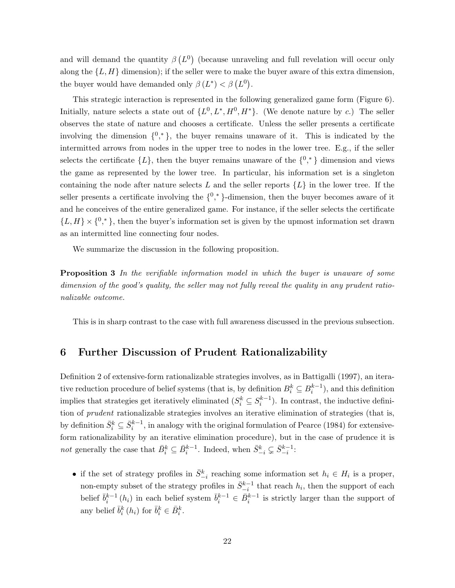and will demand the quantity  $\beta(L^0)$  (because unraveling and full revelation will occur only along the  $\{L, H\}$  dimension); if the seller were to make the buyer aware of this extra dimension, the buyer would have demanded only  $\beta(L^*) < \beta(L^0)$ .

This strategic interaction is represented in the following generalized game form (Figure 6). Initially, nature selects a state out of  $\{L^0, L^*, H^0, H^*\}$ . (We denote nature by c.) The seller observes the state of nature and chooses a certificate. Unless the seller presents a certificate involving the dimension  $\{0,^*\}$ , the buyer remains unaware of it. This is indicated by the intermitted arrows from nodes in the upper tree to nodes in the lower tree. E.g., if the seller selects the certificate  $\{L\}$ , then the buyer remains unaware of the  $\{0,^*\}$  dimension and views the game as represented by the lower tree. In particular, his information set is a singleton containing the node after nature selects L and the seller reports  $\{L\}$  in the lower tree. If the seller presents a certificate involving the  $\{0, *\}$ -dimension, then the buyer becomes aware of it and he conceives of the entire generalized game. For instance, if the seller selects the certificate  ${L, H} \times \{0, \ast\}$ , then the buyer's information set is given by the upmost information set drawn as an intermitted line connecting four nodes.

We summarize the discussion in the following proposition.

Proposition 3 In the verifiable information model in which the buyer is unaware of some dimension of the good's quality, the seller may not fully reveal the quality in any prudent rationalizable outcome.

This is in sharp contrast to the case with full awareness discussed in the previous subsection.

## 6 Further Discussion of Prudent Rationalizability

Definition 2 of extensive-form rationalizable strategies involves, as in Battigalli (1997), an iterative reduction procedure of belief systems (that is, by definition  $B_i^k \subseteq B_i^{k-1}$ ), and this definition implies that strategies get iteratively eliminated  $(S_i^k \subseteq S_i^{k-1})$ . In contrast, the inductive definition of *prudent* rationalizable strategies involves an iterative elimination of strategies (that is, by definition  $\bar{S}_i^k \subseteq \bar{S}_i^{k-1}$ , in analogy with the original formulation of Pearce (1984) for extensiveform rationalizability by an iterative elimination procedure), but in the case of prudence it is not generally the case that  $\bar{B}_i^k \subseteq \bar{B}_i^{k-1}$ . Indeed, when  $\bar{S}_{-i}^k \subsetneq \bar{S}_{-i}^{k-1}$ :

• if the set of strategy profiles in  $\bar{S}_{-i}^k$  reaching some information set  $h_i \in H_i$  is a proper, non-empty subset of the strategy profiles in  $\bar{S}_{-i}^{k-1}$  that reach  $h_i$ , then the support of each belief  $\bar{b}_i^{k-1}(h_i)$  in each belief system  $\bar{b}_i^{k-1} \in \bar{B}_i^{k-1}$  is strictly larger than the support of any belief  $\bar{b}_i^k(h_i)$  for  $\bar{b}_i^k \in \bar{B}_i^k$ .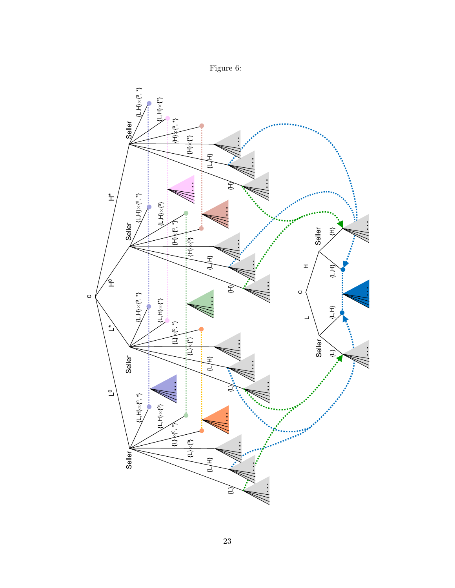

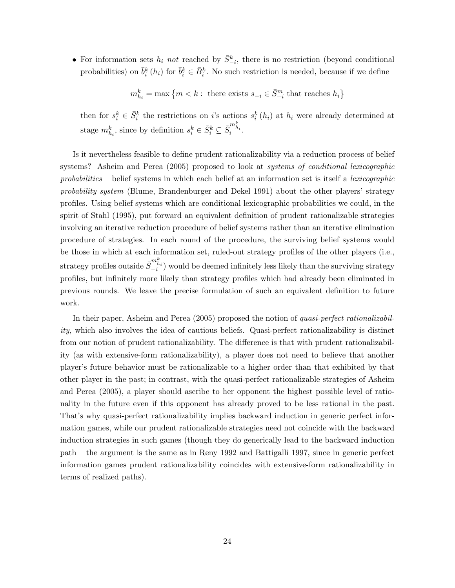• For information sets  $h_i$  not reached by  $\bar{S}_{-i}^k$ , there is no restriction (beyond conditional probabilities) on  $\bar{b}_i^k(h_i)$  for  $\bar{b}_i^k \in \bar{B}_i^k$ . No such restriction is needed, because if we define

 $m_{h_i}^k = \max \left\{m < k : \text{ there exists } s_{-i} \in \bar{S}_{-i}^m \text{ that reaches } h_i \right\}$ 

then for  $s_i^k \in \bar{S}_i^k$  the restrictions on i's actions  $s_i^k(h_i)$  at  $h_i$  were already determined at stage  $m_{h_i}^k$ , since by definition  $s_i^k \in \bar{S}_i^k \subseteq \bar{S}_i^{m_{h_i}^k}$ .

Is it nevertheless feasible to define prudent rationalizability via a reduction process of belief systems? Asheim and Perea (2005) proposed to look at systems of conditional lexicographic probabilities – belief systems in which each belief at an information set is itself a *lexicographic* probability system (Blume, Brandenburger and Dekel 1991) about the other players' strategy profiles. Using belief systems which are conditional lexicographic probabilities we could, in the spirit of Stahl (1995), put forward an equivalent definition of prudent rationalizable strategies involving an iterative reduction procedure of belief systems rather than an iterative elimination procedure of strategies. In each round of the procedure, the surviving belief systems would be those in which at each information set, ruled-out strategy profiles of the other players (i.e., strategy profiles outside  $\bar{S}_{-i}^{m_{h_i}^k}$ ) would be deemed infinitely less likely than the surviving strategy profiles, but infinitely more likely than strategy profiles which had already been eliminated in previous rounds. We leave the precise formulation of such an equivalent definition to future work.

In their paper, Asheim and Perea (2005) proposed the notion of quasi-perfect rationalizability, which also involves the idea of cautious beliefs. Quasi-perfect rationalizability is distinct from our notion of prudent rationalizability. The difference is that with prudent rationalizability (as with extensive-form rationalizability), a player does not need to believe that another player's future behavior must be rationalizable to a higher order than that exhibited by that other player in the past; in contrast, with the quasi-perfect rationalizable strategies of Asheim and Perea (2005), a player should ascribe to her opponent the highest possible level of rationality in the future even if this opponent has already proved to be less rational in the past. That's why quasi-perfect rationalizability implies backward induction in generic perfect information games, while our prudent rationalizable strategies need not coincide with the backward induction strategies in such games (though they do generically lead to the backward induction path – the argument is the same as in Reny 1992 and Battigalli 1997, since in generic perfect information games prudent rationalizability coincides with extensive-form rationalizability in terms of realized paths).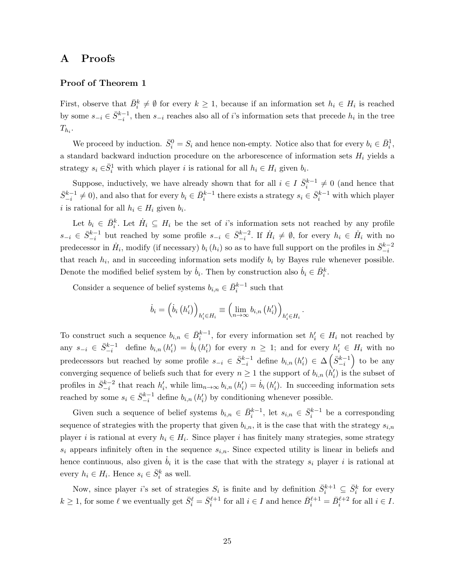### A Proofs

#### Proof of Theorem 1

First, observe that  $\bar{B}_i^k \neq \emptyset$  for every  $k \geq 1$ , because if an information set  $h_i \in H_i$  is reached by some  $s_{-i} \in \bar{S}_{-i}^{k-1}$ , then  $s_{-i}$  reaches also all of i's information sets that precede  $h_i$  in the tree  $T_{h_i}.$ 

We proceed by induction.  $\bar{S}_i^0 = S_i$  and hence non-empty. Notice also that for every  $b_i \in \bar{B}_i^1$ , a standard backward induction procedure on the arborescence of information sets  $H_i$  yields a strategy  $s_i \in \bar{S}_i^1$  with which player i is rational for all  $h_i \in H_i$  given  $b_i$ .

Suppose, inductively, we have already shown that for all  $i \in I$   $\bar{S}_i^{k-1} \neq 0$  (and hence that  $\bar{S}_{-i}^{k-1} \neq 0$ ), and also that for every  $b_i \in \bar{B}_i^{k-1}$  there exists a strategy  $s_i \in \bar{S}_i^{k-1}$  with which player i is rational for all  $h_i \in H_i$  given  $b_i$ .

Let  $b_i \in \bar{B}_i^k$ . Let  $\dot{H}_i \subseteq H_i$  be the set of i's information sets not reached by any profile  $s_{-i} \in \bar{S}_{-i}^{k-1}$  but reached by some profile  $s_{-i} \in \bar{S}_{-i}^{k-2}$ . If  $\dot{H}_i \neq \emptyset$ , for every  $h_i \in \dot{H}_i$  with no predecessor in  $\dot{H}_i$ , modify (if necessary)  $b_i(h_i)$  so as to have full support on the profiles in  $\bar{S}_{-i}^{k-2}$ that reach  $h_i$ , and in succeeding information sets modify  $b_i$  by Bayes rule whenever possible. Denote the modified belief system by  $\dot{b}_i$ . Then by construction also  $\dot{b}_i \in \bar{B}_i^k$ .

Consider a sequence of belief systems  $b_{i,n} \in \bar{B}_i^{k-1}$  such that

$$
\dot{b}_{i} = \left(\dot{b}_{i} \left(h_{i}'\right)\right)_{h_{i}' \in H_{i}} \equiv \left(\lim_{n \to \infty} b_{i,n} \left(h_{i}'\right)\right)_{h_{i}' \in H_{i}}.
$$

To construct such a sequence  $b_{i,n} \in \bar{B}_i^{k-1}$ , for every information set  $h'_i \in H_i$  not reached by any  $s_{-i} \in \bar{S}_{-i}^{k-1}$  define  $b_{i,n}(h'_i) = \dot{b}_i(h'_i)$  for every  $n \geq 1$ ; and for every  $h'_i \in H_i$  with no predecessors but reached by some profile  $s_{-i} \in \bar{S}_{-i}^{k-1}$  define  $b_{i,n}(h'_i) \in \Delta\left(\bar{S}_{-i}^{k-1}\right)$  to be any converging sequence of beliefs such that for every  $n \geq 1$  the support of  $b_{i,n}$   $(h'_i)$  is the subset of profiles in  $\bar{S}_{-i}^{k-2}$  that reach  $h'_i$ , while  $\lim_{n\to\infty} b_{i,n} (h'_i) = \dot{b}_i (h'_i)$ . In succeeding information sets reached by some  $s_i \in \bar{S}_{-i}^{k-1}$  define  $b_{i,n}(h'_i)$  by conditioning whenever possible.

Given such a sequence of belief systems  $b_{i,n} \in \bar{B}_i^{k-1}$ , let  $s_{i,n} \in \bar{S}_i^{k-1}$  be a corresponding sequence of strategies with the property that given  $b_{i,n}$ , it is the case that with the strategy  $s_{i,n}$ player *i* is rational at every  $h_i \in H_i$ . Since player *i* has finitely many strategies, some strategy  $s_i$  appears infinitely often in the sequence  $s_{i,n}$ . Since expected utility is linear in beliefs and hence continuous, also given  $\dot{b}_i$  it is the case that with the strategy  $s_i$  player i is rational at every  $h_i \in H_i$ . Hence  $s_i \in \bar{S}_i^k$  as well.

Now, since player *i*'s set of strategies  $S_i$  is finite and by definition  $\bar{S}_i^{k+1} \subseteq \bar{S}_i^k$  for every  $k \geq 1$ , for some  $\ell$  we eventually get  $\bar{S}_i^{\ell} = \bar{S}_i^{\ell+1}$  for all  $i \in I$  and hence  $\bar{B}_i^{\ell+1} = \bar{B}_i^{\ell+2}$  for all  $i \in I$ .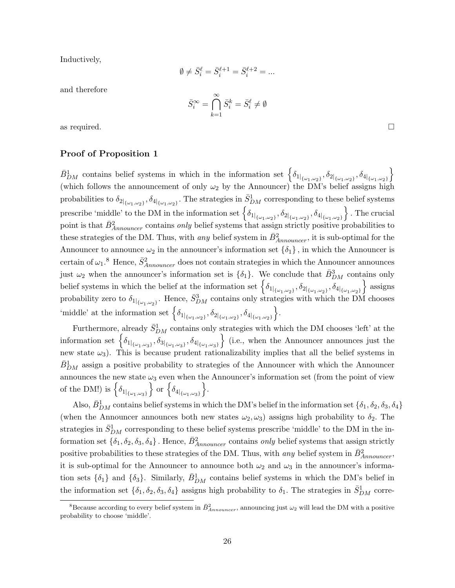Inductively,

$$
\emptyset \neq \bar{S}_i^{\ell} = \bar{S}_i^{\ell+1} = \bar{S}_i^{\ell+2} = \dots
$$

and therefore

$$
\bar{S}^{\infty}_i = \bigcap_{k=1}^{\infty} \bar{S}^k_i = \bar{S}^{\ell}_i \neq \emptyset
$$

as required.  $\Box$ 

### Proof of Proposition 1

 $\bar{B}_{DM}^1$  contains belief systems in which in the information set  $\left\{\delta_{1|_{\{\omega_1,\omega_2\}}}, \delta_{2|_{\{\omega_1,\omega_2\}}}, \delta_{4|_{\{\omega_1,\omega_2\}}}\right\}$ (which follows the announcement of only  $\omega_2$  by the Announcer) the DM's belief assigns high probabilities to  $\delta_{2|_{\{\omega_1,\omega_2\}}}, \delta_{4|_{\{\omega_1,\omega_2\}}}$ . The strategies in  $\bar{S}_{DM}^1$  corresponding to these belief systems prescribe 'middle' to the DM in the information set  $\left\{ \delta_{1|_{\{\omega_1,\omega_2\}}}, \delta_{2|_{\{\omega_1,\omega_2\}}}, \delta_{4|_{\{\omega_1,\omega_2\}}} \right\}$  . The crucial point is that  $\bar{B}^2_{Announce}$  contains *only* belief systems that assign strictly positive probabilities to these strategies of the DM. Thus, with *any* belief system in  $\bar{B}^2_{Announceer}$ , it is sub-optimal for the Announcer to announce  $\omega_2$  in the announcer's information set  $\{\delta_1\}$ , in which the Announcer is certain of  $\omega_1$ .<sup>8</sup> Hence,  $\bar{S}_{Announce}^2$  does not contain strategies in which the Announcer announces just  $\omega_2$  when the announcer's information set is  $\{\delta_1\}$ . We conclude that  $\bar{B}_{DM}^3$  contains only belief systems in which the belief at the information set  $\left\{ \delta_{1|_{\{\omega_1,\omega_2\}}}, \delta_{2|_{\{\omega_1,\omega_2\}}}, \delta_{4|_{\{\omega_1,\omega_2\}}} \right\}$  assigns probability zero to  $\delta_{1|_{\{\omega_1,\omega_2\}}}$ . Hence,  $\bar{S}_{DM}^3$  contains only strategies with which the DM chooses 'middle' at the information set  $\left\{ \delta_{1|_{\{\omega_1,\omega_2\}}}, \delta_{2|_{\{\omega_1,\omega_2\}}}, \delta_{4|_{\{\omega_1,\omega_2\}}} \right\}$ .

Furthermore, already  $\bar{S}_{DM}^1$  contains only strategies with which the DM chooses 'left' at the information set  $\left\{ \delta_{1|_{\{\omega_1,\omega_3\}}}, \delta_{3|_{\{\omega_1,\omega_3\}}}, \delta_{4|_{\{\omega_1,\omega_3\}}} \right\}$  (i.e., when the Announcer announces just the new state  $\omega_3$ ). This is because prudent rationalizability implies that all the belief systems in  $\bar{B}_{DM}^1$  assign a positive probability to strategies of the Announcer with which the Announcer announces the new state  $\omega_3$  even when the Announcer's information set (from the point of view of the DM!) is  $\left\{ \delta_{1|_{\left\{ \omega_{1},\omega_{3}\right\} }}\right\}$  or  $\left\{ \delta_{4|_{\left\{ \omega_{1},\omega_{3}\right\} }}\right\}$ .

Also,  $\bar{B}_{DM}^1$  contains belief systems in which the DM's belief in the information set  $\{\delta_1,\delta_2,\delta_3,\delta_4\}$ (when the Announcer announces both new states  $\omega_2, \omega_3$ ) assigns high probability to  $\delta_2$ . The strategies in  $\bar{S}_{DM}^1$  corresponding to these belief systems prescribe 'middle' to the DM in the information set  $\{\delta_1, \delta_2, \delta_3, \delta_4\}$ . Hence,  $\bar{B}_{Announce}^2$  contains *only* belief systems that assign strictly positive probabilities to these strategies of the DM. Thus, with *any* belief system in  $\bar{B}^2_{Announce}$ , it is sub-optimal for the Announcer to announce both  $\omega_2$  and  $\omega_3$  in the announcer's information sets  $\{\delta_1\}$  and  $\{\delta_3\}$ . Similarly,  $\bar{B}_{DM}^1$  contains belief systems in which the DM's belief in the information set  $\{\delta_1, \delta_2, \delta_3, \delta_4\}$  assigns high probability to  $\delta_1$ . The strategies in  $\bar{S}_{DM}^1$  corre-

<sup>&</sup>lt;sup>8</sup>Because according to every belief system in  $\bar{B}^2_{Announce}$ , announcing just  $\omega_2$  will lead the DM with a positive probability to choose 'middle'.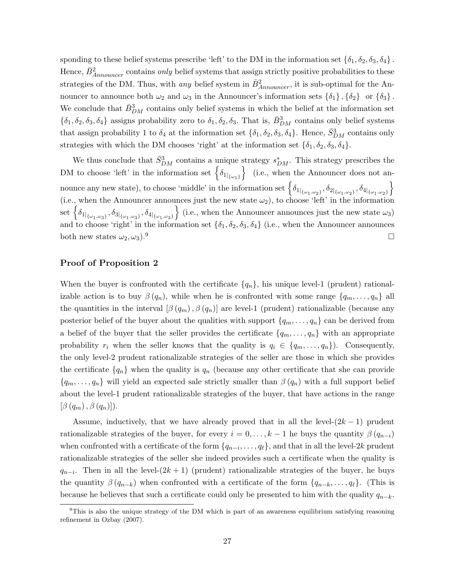sponding to these belief systems prescribe 'left' to the DM in the information set  $\{\delta_1, \delta_2, \delta_3, \delta_4\}$ . Hence,  $\bar{B}^2_{Announce}$  contains *only* belief systems that assign strictly positive probabilities to these strategies of the DM. Thus, with *any* belief system in  $\bar{B}^2_{Announceer}$ , it is sub-optimal for the Announcer to announce both  $\omega_2$  and  $\omega_3$  in the Announcer's information sets  $\{\delta_1\}$ ,  $\{\delta_2\}$  or  $\{\delta_3\}$ . We conclude that  $\bar{B}_{DM}^3$  contains only belief systems in which the belief at the information set  $\{\delta_1,\delta_2,\delta_3,\delta_4\}$  assigns probability zero to  $\delta_1,\delta_2,\delta_3$ . That is,  $\bar{B}_{DM}^3$  contains only belief systems that assign probability 1 to  $\delta_4$  at the information set  $\{\delta_1, \delta_2, \delta_3, \delta_4\}$ . Hence,  $\bar{S}_{DM}^3$  contains only strategies with which the DM chooses 'right' at the information set  $\{\delta_1, \delta_2, \delta_3, \delta_4\}.$ 

We thus conclude that  $\bar{S}_{DM}^3$  contains a unique strategy  $s_{DM}^*$ . This strategy prescribes the DM to choose 'left' in the information set  $\left\{\delta_{1\vert_{\{\omega_1\}}}\right\}$  (i.e., when the Announcer does not an- $\mathcal{S}_{\{0\}_{\{\omega_1,\omega_2\}},\delta_{\{0\}_{\{\omega_1,\omega_2\}}}, \delta_{\{0\}_{\{\omega_1,\omega_2\}},\delta_{\{0\}_{\{\omega_1,\omega_2\}}}\}$ (i.e., when the Announcer announces just the new state  $\omega_2$ ), to choose 'left' in the information  $\text{set }\left\{ \delta_{1|_{\left\{ \omega_{1},\omega_{3}\right\} }},\delta_{3|_{\left\{ \omega_{1},\omega_{3}\right\} }},\delta_{4|_{\left\{ \omega_{1},\omega_{3}\right\} }}\right\}$  (i.e., when the Announcer announces just the new state  $\omega_{3}$ ) and to choose 'right' in the information set  $\{\delta_1, \delta_2, \delta_3, \delta_4\}$  (i.e., when the Announcer announces both new states  $\omega_2, \omega_3$ .<sup>9</sup>

### Proof of Proposition 2

When the buyer is confronted with the certificate  $\{q_n\}$ , his unique level-1 (prudent) rationalizable action is to buy  $\beta(q_n)$ , while when he is confronted with some range  $\{q_m, \ldots, q_n\}$  all the quantities in the interval  $[\beta(q_m), \beta(q_n)]$  are level-1 (prudent) rationalizable (because any posterior belief of the buyer about the qualities with support  $\{q_m, \ldots, q_n\}$  can be derived from a belief of the buyer that the seller provides the certificate  $\{q_m, \ldots, q_n\}$  with an appropriate probability  $r_i$  when the seller knows that the quality is  $q_i \in \{q_m, \ldots, q_n\}$ . Consequently, the only level-2 prudent rationalizable strategies of the seller are those in which she provides the certificate  $\{q_n\}$  when the quality is  $q_n$  (because any other certificate that she can provide  ${q_m, \ldots, q_n}$  will yield an expected sale strictly smaller than  $\beta(q_n)$  with a full support belief about the level-1 prudent rationalizable strategies of the buyer, that have actions in the range  $[\beta(q_m), \beta(q_n)]$ ).

Assume, inductively, that we have already proved that in all the level- $(2k-1)$  prudent rationalizable strategies of the buyer, for every  $i = 0, \ldots, k - 1$  he buys the quantity  $\beta(q_{n-i})$ when confronted with a certificate of the form  $\{q_{n-i}, \ldots, q_\ell\}$ , and that in all the level-2k prudent rationalizable strategies of the seller she indeed provides such a certificate when the quality is  $q_{n-i}$ . Then in all the level- $(2k+1)$  (prudent) rationalizable strategies of the buyer, he buys the quantity  $\beta(q_{n-k})$  when confronted with a certificate of the form  $\{q_{n-k}, \ldots, q_\ell\}$ . (This is because he believes that such a certificate could only be presented to him with the quality  $q_{n-k}$ .

<sup>&</sup>lt;sup>9</sup>This is also the unique strategy of the DM which is part of an awareness equilibrium satisfying reasoning refinement in Ozbay (2007).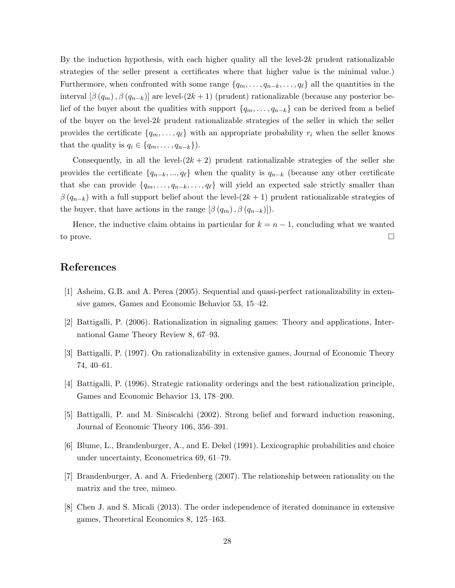By the induction hypothesis, with each higher quality all the level- $2k$  prudent rationalizable strategies of the seller present a certificates where that higher value is the minimal value.) Furthermore, when confronted with some range  $\{q_m, \ldots, q_{n-k}, \ldots, q_\ell\}$  all the quantities in the interval  $\left[\beta(q_m), \beta(q_{n-k})\right]$  are level- $(2k+1)$  (prudent) rationalizable (because any posterior belief of the buyer about the qualities with support  $\{q_m, \ldots, q_{n-k}\}\)$  can be derived from a belief of the buyer on the level- $2k$  prudent rationalizable strategies of the seller in which the seller provides the certificate  $\{q_m, \ldots, q_\ell\}$  with an appropriate probability  $r_i$  when the seller knows that the quality is  $q_i \in \{q_m, \ldots, q_{n-k}\}\)$ .

Consequently, in all the level- $(2k + 2)$  prudent rationalizable strategies of the seller she provides the certificate  $\{q_{n-k}, ..., q_\ell\}$  when the quality is  $q_{n-k}$  (because any other certificate that she can provide  $\{q_m, \ldots, q_{n-k}, \ldots, q_\ell\}$  will yield an expected sale strictly smaller than  $\beta(q_{n-k})$  with a full support belief about the level- $(2k+1)$  prudent rationalizable strategies of the buyer, that have actions in the range  $[\beta(q_m), \beta(q_{n-k})]$ .

Hence, the inductive claim obtains in particular for  $k = n - 1$ , concluding what we wanted to prove.  $\Box$ 

## References

- [1] Asheim, G.B. and A. Perea (2005). Sequential and quasi-perfect rationalizability in extensive games, Games and Economic Behavior 53, 15–42.
- [2] Battigalli, P. (2006). Rationalization in signaling games: Theory and applications, International Game Theory Review 8, 67–93.
- [3] Battigalli, P. (1997). On rationalizability in extensive games, Journal of Economic Theory 74, 40–61.
- [4] Battigalli, P. (1996). Strategic rationality orderings and the best rationalization principle, Games and Economic Behavior 13, 178–200.
- [5] Battigalli, P. and M. Siniscalchi (2002). Strong belief and forward induction reasoning, Journal of Economic Theory 106, 356–391.
- [6] Blume, L., Brandenburger, A., and E. Dekel (1991). Lexicographic probabilities and choice under uncertainty, Econometrica 69, 61–79.
- [7] Brandenburger, A. and A. Friedenberg (2007). The relationship between rationality on the matrix and the tree, mimeo.
- [8] Chen J. and S. Micali (2013). The order independence of iterated dominance in extensive games, Theoretical Economics 8, 125–163.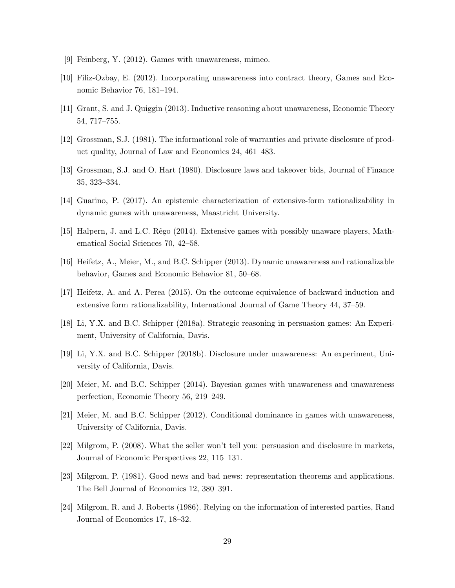- [9] Feinberg, Y. (2012). Games with unawareness, mimeo.
- [10] Filiz-Ozbay, E. (2012). Incorporating unawareness into contract theory, Games and Economic Behavior 76, 181–194.
- [11] Grant, S. and J. Quiggin (2013). Inductive reasoning about unawareness, Economic Theory 54, 717–755.
- [12] Grossman, S.J. (1981). The informational role of warranties and private disclosure of product quality, Journal of Law and Economics 24, 461–483.
- [13] Grossman, S.J. and O. Hart (1980). Disclosure laws and takeover bids, Journal of Finance 35, 323–334.
- [14] Guarino, P. (2017). An epistemic characterization of extensive-form rationalizability in dynamic games with unawareness, Maastricht University.
- [15] Halpern, J. and L.C. Rˆego (2014). Extensive games with possibly unaware players, Mathematical Social Sciences 70, 42–58.
- [16] Heifetz, A., Meier, M., and B.C. Schipper (2013). Dynamic unawareness and rationalizable behavior, Games and Economic Behavior 81, 50–68.
- [17] Heifetz, A. and A. Perea (2015). On the outcome equivalence of backward induction and extensive form rationalizability, International Journal of Game Theory 44, 37–59.
- [18] Li, Y.X. and B.C. Schipper (2018a). Strategic reasoning in persuasion games: An Experiment, University of California, Davis.
- [19] Li, Y.X. and B.C. Schipper (2018b). Disclosure under unawareness: An experiment, University of California, Davis.
- [20] Meier, M. and B.C. Schipper (2014). Bayesian games with unawareness and unawareness perfection, Economic Theory 56, 219–249.
- [21] Meier, M. and B.C. Schipper (2012). Conditional dominance in games with unawareness, University of California, Davis.
- [22] Milgrom, P. (2008). What the seller won't tell you: persuasion and disclosure in markets, Journal of Economic Perspectives 22, 115–131.
- [23] Milgrom, P. (1981). Good news and bad news: representation theorems and applications. The Bell Journal of Economics 12, 380–391.
- [24] Milgrom, R. and J. Roberts (1986). Relying on the information of interested parties, Rand Journal of Economics 17, 18–32.